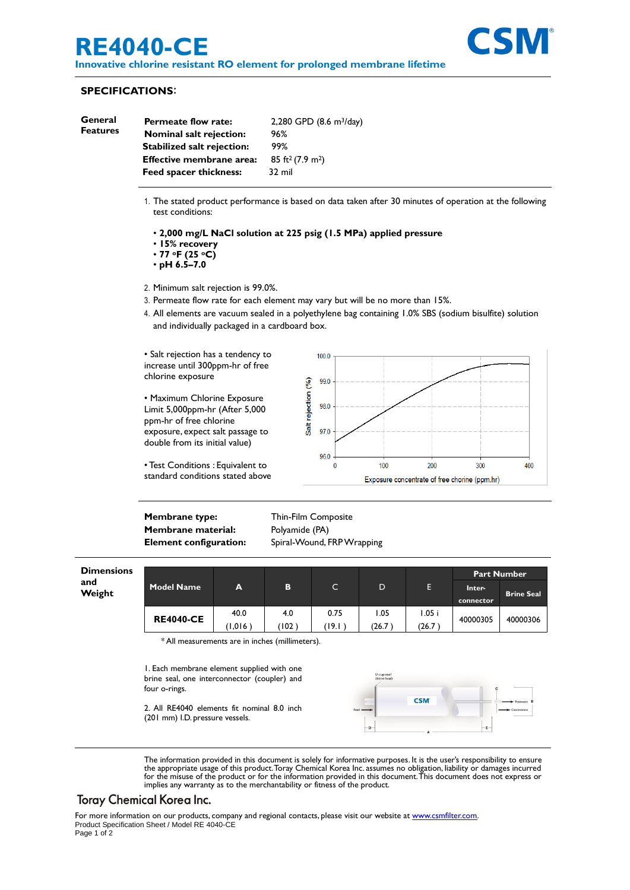# **RE4040-CE**

**Innovative chlorine resistant RO element for prolonged membrane lifetime**



#### **SPECIFICATIONS**:

| General<br>Features | <b>Permeate flow rate:</b>        | 2,280 GPD (8.6 m <sup>3</sup> /day)      |  |  |
|---------------------|-----------------------------------|------------------------------------------|--|--|
|                     | <b>Nominal salt rejection:</b>    | 96%                                      |  |  |
|                     | <b>Stabilized salt rejection:</b> | 99%                                      |  |  |
|                     | <b>Effective membrane area:</b>   | 85 ft <sup>2</sup> (7.9 m <sup>2</sup> ) |  |  |
|                     | <b>Feed spacer thickness:</b>     | $32 \text{ mil}$                         |  |  |
|                     |                                   |                                          |  |  |

- 1. The stated product performance is based on data taken after 30 minutes of operation at the following test conditions:
	- **2,000 mg/L NaCl solution at 225 psig (1.5 MPa) applied pressure**
	- **15% recovery**
	- **77 oF (25 oC)**
	- **pH 6.5–7.0**
- 2. Minimum salt rejection is 99.0%.
- 3. Permeate flow rate for each element may vary but will be no more than 15%.
- 4. All elements are vacuum sealed in a polyethylene bag containing 1.0% SBS (sodium bisulfite) solution and individually packaged in a cardboard box.

• Salt rejection has a tendency to increase until 300ppm-hr of free chlorine exposure

• Maximum Chlorine Exposure Limit 5,000ppm-hr (After 5,000 ppm-hr of free chlorine exposure, expect salt passage to double from its initial value)





**Membrane type:** Thin-Film Composite **Membrane material:** Polyamide (PA)

**Element configuration:** Spiral-Wound, FRP Wrapping

| <b>Dimensions</b><br>and<br>Weight | Model Name       | A    |       | C.    | D     | E      | <b>Part Number</b> |                   |
|------------------------------------|------------------|------|-------|-------|-------|--------|--------------------|-------------------|
|                                    |                  |      | в     |       |       |        | Inter-             | <b>Brine Seal</b> |
|                                    |                  |      |       |       |       |        | connector          |                   |
|                                    | <b>RE4040-CE</b> | 40.0 | 4.0   | 0.75  | 1.05  | 1.05i  | 40000305           | 40000306          |
|                                    |                  | .016 | (102) | '19.I | (26.7 | (26.7) |                    |                   |

\* All measurements are in inches (millimeters).

1. Each membrane element supplied with one brine seal, one interconnector (coupler) and four o-rings.

2. All RE4040 elements fit nominal 8.0 inch (201 mm) I.D. pressure vessels.



The information provided in this document is solely for informative purposes. It is the user's responsibility to ensure the appropriate usage of this product.Toray Chemical Korea Inc. assumes no obligation, liability or damages incurred<br>for the misuse of the product or for the information provided in this document.This document does not exp implies any warranty as to the merchantability or fitness of the product.

## Toray Chemical Korea Inc.

For more information on our products, company and regional contacts, please visit our website at [www.csmfilter.com.](http://www.csmfilter.com/) Product Specification Sheet / Model RE 4040-CE Page 1 of 2